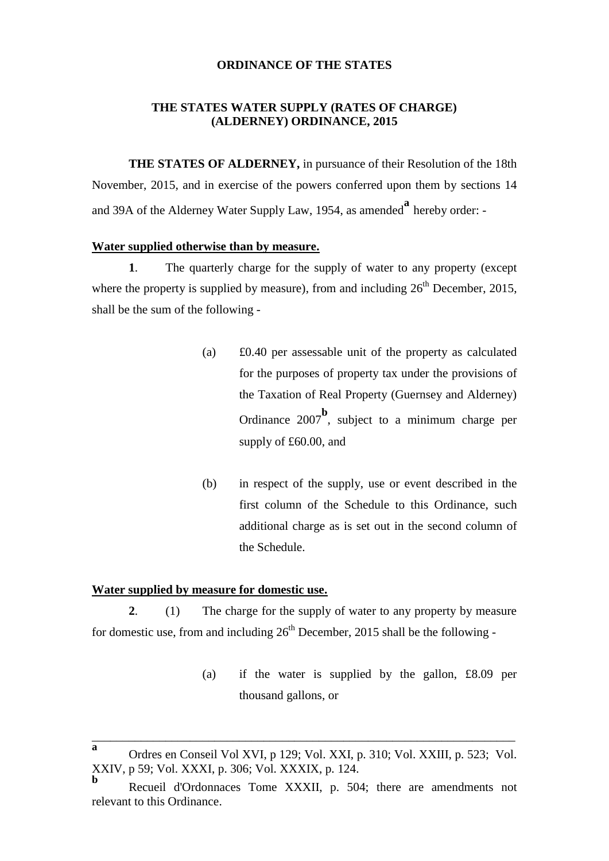### **ORDINANCE OF THE STATES**

### **THE STATES WATER SUPPLY (RATES OF CHARGE) (ALDERNEY) ORDINANCE, 2015**

**THE STATES OF ALDERNEY,** in pursuance of their Resolution of the 18th November, 2015, and in exercise of the powers conferred upon them by sections 14 and 39A of the Alderney Water Supply Law, 1954, as amended**<sup>a</sup>** hereby order: -

#### **Water supplied otherwise than by measure.**

**1**. The quarterly charge for the supply of water to any property (except where the property is supplied by measure), from and including  $26<sup>th</sup>$  December, 2015, shall be the sum of the following -

- (a) £0.40 per assessable unit of the property as calculated for the purposes of property tax under the provisions of the Taxation of Real Property (Guernsey and Alderney) Ordinance 2007**<sup>b</sup>** , subject to a minimum charge per supply of £60.00, and
- (b) in respect of the supply, use or event described in the first column of the Schedule to this Ordinance, such additional charge as is set out in the second column of the Schedule.

### **Water supplied by measure for domestic use.**

**2**. (1) The charge for the supply of water to any property by measure for domestic use, from and including  $26<sup>th</sup>$  December, 2015 shall be the following -

> (a) if the water is supplied by the gallon, £8.09 per thousand gallons, or

\_\_\_\_\_\_\_\_\_\_\_\_\_\_\_\_\_\_\_\_\_\_\_\_\_\_\_\_\_\_\_\_\_\_\_\_\_\_\_\_\_\_\_\_\_\_\_\_\_\_\_\_\_\_\_\_\_\_\_\_\_\_\_\_\_\_\_\_\_

**a** Ordres en Conseil Vol XVI, p 129; Vol. XXI, p. 310; Vol. XXIII, p. 523; Vol. XXIV, p 59; Vol. XXXI, p. 306; Vol. XXXIX, p. 124.

**b** Recueil d'Ordonnaces Tome XXXII, p. 504; there are amendments not relevant to this Ordinance.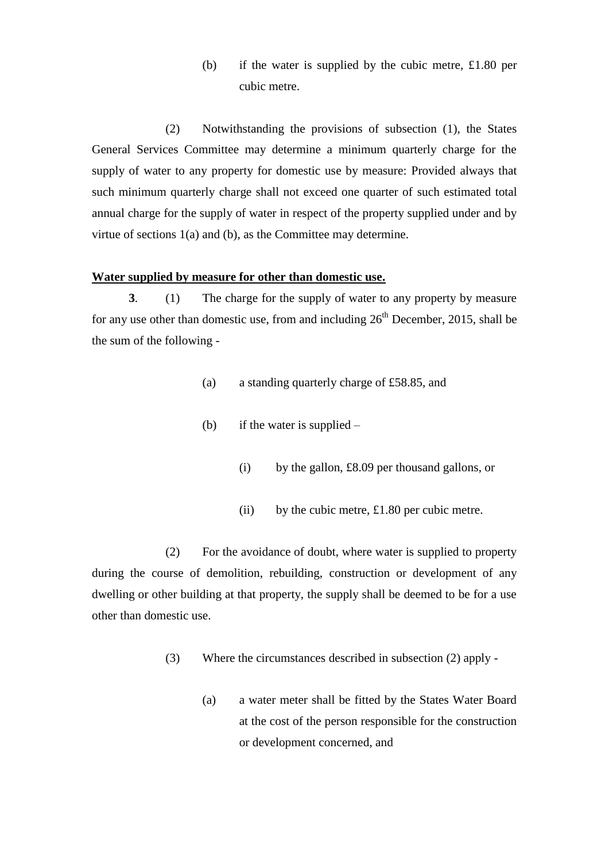(b) if the water is supplied by the cubic metre, £1.80 per cubic metre.

(2) Notwithstanding the provisions of subsection (1), the States General Services Committee may determine a minimum quarterly charge for the supply of water to any property for domestic use by measure: Provided always that such minimum quarterly charge shall not exceed one quarter of such estimated total annual charge for the supply of water in respect of the property supplied under and by virtue of sections 1(a) and (b), as the Committee may determine.

### **Water supplied by measure for other than domestic use.**

**3**. (1) The charge for the supply of water to any property by measure for any use other than domestic use, from and including  $26<sup>th</sup>$  December, 2015, shall be the sum of the following -

- (a) a standing quarterly charge of £58.85, and
- (b) if the water is supplied
	- (i) by the gallon, £8.09 per thousand gallons, or
	- (ii) by the cubic metre, £1.80 per cubic metre.

(2) For the avoidance of doubt, where water is supplied to property during the course of demolition, rebuilding, construction or development of any dwelling or other building at that property, the supply shall be deemed to be for a use other than domestic use.

- (3) Where the circumstances described in subsection (2) apply
	- (a) a water meter shall be fitted by the States Water Board at the cost of the person responsible for the construction or development concerned, and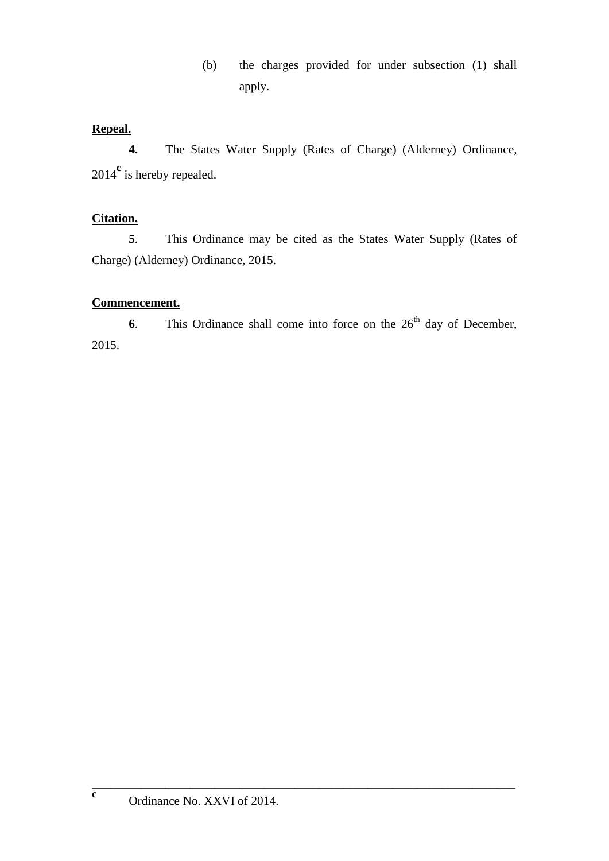(b) the charges provided for under subsection (1) shall apply.

## **Repeal.**

**4.** The States Water Supply (Rates of Charge) (Alderney) Ordinance, 2014 **c** is hereby repealed.

## **Citation.**

**5**. This Ordinance may be cited as the States Water Supply (Rates of Charge) (Alderney) Ordinance, 2015.

## **Commencement.**

**6**. This Ordinance shall come into force on the  $26<sup>th</sup>$  day of December, 2015.

\_\_\_\_\_\_\_\_\_\_\_\_\_\_\_\_\_\_\_\_\_\_\_\_\_\_\_\_\_\_\_\_\_\_\_\_\_\_\_\_\_\_\_\_\_\_\_\_\_\_\_\_\_\_\_\_\_\_\_\_\_\_\_\_\_\_\_\_\_